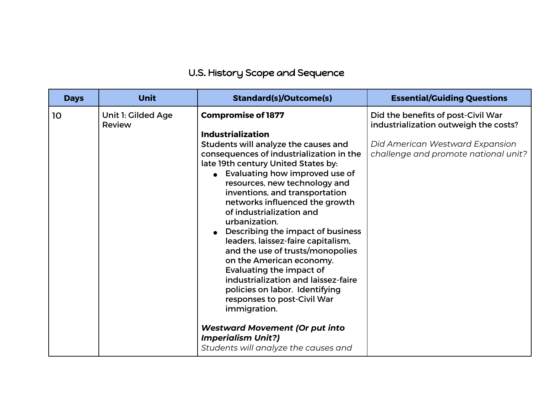## U.S. History Scope and Sequence

| <b>Days</b> | <b>Unit</b>                  | <b>Standard(s)/Outcome(s)</b>                                                                                                                                                                                                                                                                                                                                                                                                                                                                                                                                                                                                                                         | <b>Essential/Guiding Questions</b>                                                                                                                     |
|-------------|------------------------------|-----------------------------------------------------------------------------------------------------------------------------------------------------------------------------------------------------------------------------------------------------------------------------------------------------------------------------------------------------------------------------------------------------------------------------------------------------------------------------------------------------------------------------------------------------------------------------------------------------------------------------------------------------------------------|--------------------------------------------------------------------------------------------------------------------------------------------------------|
| 10          | Unit 1: Gilded Age<br>Review | <b>Compromise of 1877</b><br><b>Industrialization</b><br>Students will analyze the causes and<br>consequences of industrialization in the<br>late 19th century United States by:<br>• Evaluating how improved use of<br>resources, new technology and<br>inventions, and transportation<br>networks influenced the growth<br>of industrialization and<br>urbanization.<br>Describing the impact of business<br>leaders, laissez-faire capitalism,<br>and the use of trusts/monopolies<br>on the American economy.<br>Evaluating the impact of<br>industrialization and laissez-faire<br>policies on labor. Identifying<br>responses to post-Civil War<br>immigration. | Did the benefits of post-Civil War<br>industrialization outweigh the costs?<br>Did American Westward Expansion<br>challenge and promote national unit? |
|             |                              | <b>Westward Movement (Or put into</b><br><b>Imperialism Unit?)</b><br>Students will analyze the causes and                                                                                                                                                                                                                                                                                                                                                                                                                                                                                                                                                            |                                                                                                                                                        |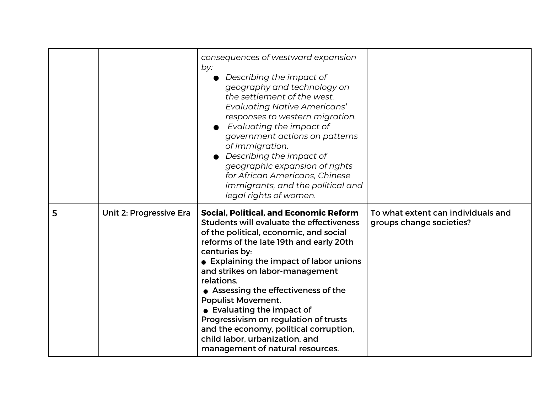|   |                         | consequences of westward expansion<br>by:<br>Describing the impact of<br>geography and technology on<br>the settlement of the west.<br><b>Evaluating Native Americans'</b><br>responses to western migration.<br>Evaluating the impact of<br>government actions on patterns<br>of immigration.<br>Describing the impact of<br>geographic expansion of rights<br>for African Americans, Chinese<br>immigrants, and the political and<br>legal rights of women.                                                                                           |                                                                |
|---|-------------------------|---------------------------------------------------------------------------------------------------------------------------------------------------------------------------------------------------------------------------------------------------------------------------------------------------------------------------------------------------------------------------------------------------------------------------------------------------------------------------------------------------------------------------------------------------------|----------------------------------------------------------------|
| 5 | Unit 2: Progressive Era | <b>Social, Political, and Economic Reform</b><br>Students will evaluate the effectiveness<br>of the political, economic, and social<br>reforms of the late 19th and early 20th<br>centuries by:<br>• Explaining the impact of labor unions<br>and strikes on labor-management<br>relations.<br>• Assessing the effectiveness of the<br><b>Populist Movement.</b><br>• Evaluating the impact of<br>Progressivism on regulation of trusts<br>and the economy, political corruption,<br>child labor, urbanization, and<br>management of natural resources. | To what extent can individuals and<br>groups change societies? |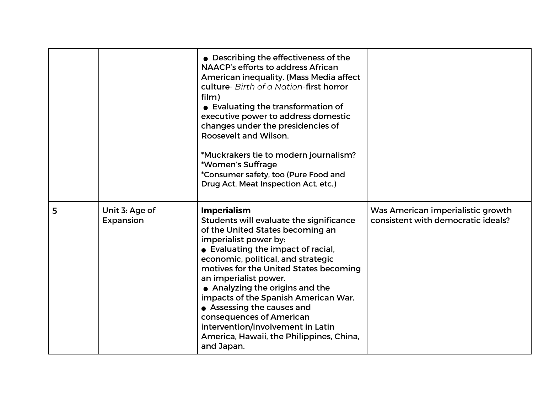|   |                             | • Describing the effectiveness of the<br><b>NAACP's efforts to address African</b><br>American inequality. (Mass Media affect<br>culture- Birth of a Nation-first horror<br>film)<br>• Evaluating the transformation of<br>executive power to address domestic<br>changes under the presidencies of<br>Roosevelt and Wilson.<br>*Muckrakers tie to modern journalism?<br>*Women's Suffrage<br>*Consumer safety, too (Pure Food and<br>Drug Act, Meat Inspection Act, etc.)                                    |                                                                         |
|---|-----------------------------|---------------------------------------------------------------------------------------------------------------------------------------------------------------------------------------------------------------------------------------------------------------------------------------------------------------------------------------------------------------------------------------------------------------------------------------------------------------------------------------------------------------|-------------------------------------------------------------------------|
| 5 | Unit 3: Age of<br>Expansion | <b>Imperialism</b><br>Students will evaluate the significance<br>of the United States becoming an<br>imperialist power by:<br>• Evaluating the impact of racial,<br>economic, political, and strategic<br>motives for the United States becoming<br>an imperialist power.<br>• Analyzing the origins and the<br>impacts of the Spanish American War.<br>• Assessing the causes and<br>consequences of American<br>intervention/involvement in Latin<br>America, Hawaii, the Philippines, China,<br>and Japan. | Was American imperialistic growth<br>consistent with democratic ideals? |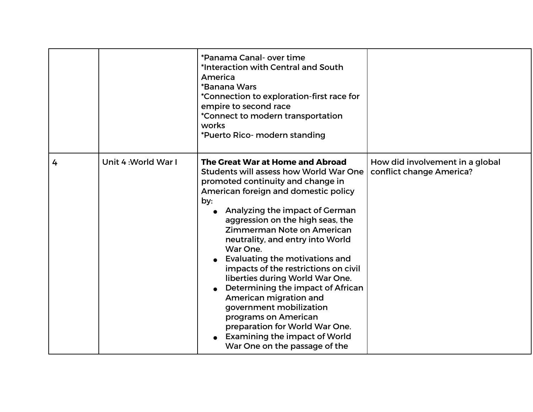|   |                     | *Panama Canal- over time<br>*Interaction with Central and South<br>America<br>*Banana Wars<br>*Connection to exploration-first race for<br>empire to second race<br>*Connect to modern transportation<br>works<br>*Puerto Rico- modern standing                                                                                                                                                                                                                                                                                                                                                                                                                     |                                                             |
|---|---------------------|---------------------------------------------------------------------------------------------------------------------------------------------------------------------------------------------------------------------------------------------------------------------------------------------------------------------------------------------------------------------------------------------------------------------------------------------------------------------------------------------------------------------------------------------------------------------------------------------------------------------------------------------------------------------|-------------------------------------------------------------|
| 4 | Unit 4: World War I | The Great War at Home and Abroad<br><b>Students will assess how World War One</b><br>promoted continuity and change in<br>American foreign and domestic policy<br>by:<br>Analyzing the impact of German<br>aggression on the high seas, the<br>Zimmerman Note on American<br>neutrality, and entry into World<br>War One.<br>Evaluating the motivations and<br>impacts of the restrictions on civil<br>liberties during World War One.<br>Determining the impact of African<br>American migration and<br>government mobilization<br>programs on American<br>preparation for World War One.<br><b>Examining the impact of World</b><br>War One on the passage of the | How did involvement in a global<br>conflict change America? |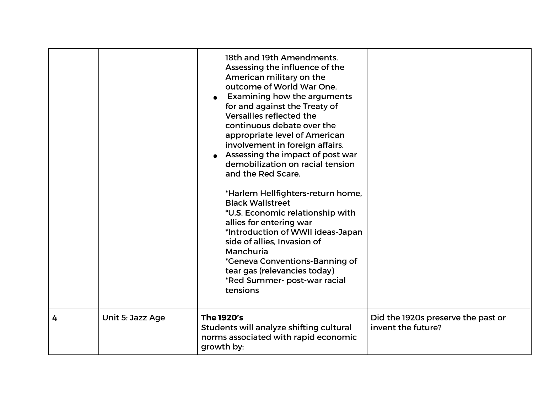|   |                  | 18th and 19th Amendments.<br>Assessing the influence of the<br>American military on the<br>outcome of World War One.<br><b>Examining how the arguments</b><br>for and against the Treaty of<br>Versailles reflected the<br>continuous debate over the<br>appropriate level of American<br>involvement in foreign affairs.<br>Assessing the impact of post war<br>demobilization on racial tension<br>and the Red Scare.<br>*Harlem Hellfighters-return home,<br><b>Black Wallstreet</b><br>*U.S. Economic relationship with<br>allies for entering war<br>*Introduction of WWII ideas-Japan<br>side of allies, Invasion of<br>Manchuria<br><i>*</i> Geneva Conventions-Banning of<br>tear gas (relevancies today)<br>*Red Summer- post-war racial<br>tensions |                                                          |
|---|------------------|---------------------------------------------------------------------------------------------------------------------------------------------------------------------------------------------------------------------------------------------------------------------------------------------------------------------------------------------------------------------------------------------------------------------------------------------------------------------------------------------------------------------------------------------------------------------------------------------------------------------------------------------------------------------------------------------------------------------------------------------------------------|----------------------------------------------------------|
| 4 | Unit 5: Jazz Age | <b>The 1920's</b><br>Students will analyze shifting cultural<br>norms associated with rapid economic<br>growth by:                                                                                                                                                                                                                                                                                                                                                                                                                                                                                                                                                                                                                                            | Did the 1920s preserve the past or<br>invent the future? |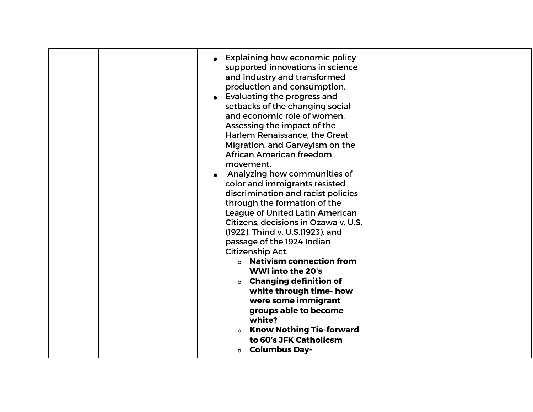| <b>Explaining how economic policy</b><br>supported innovations in science<br>and industry and transformed<br>production and consumption.<br>Evaluating the progress and<br>setbacks of the changing social<br>and economic role of women.<br>Assessing the impact of the<br>Harlem Renaissance, the Great<br>Migration, and Garveyism on the<br>African American freedom<br>movement.<br>Analyzing how communities of<br>color and immigrants resisted<br>discrimination and racist policies<br>through the formation of the<br><b>League of United Latin American</b><br>Citizens, decisions in Ozawa v. U.S.<br>(1922), Thind v. U.S. (1923), and<br>passage of the 1924 Indian<br>Citizenship Act.<br><b>o</b> Nativism connection from<br><b>WWI into the 20's</b><br><b>o</b> Changing definition of<br>white through time- how<br>were some immigrant<br>groups able to become<br>white?<br><b>Know Nothing Tie-forward</b><br>to 60's JFK Catholicsm<br><b>o</b> Columbus Day- |  |
|---------------------------------------------------------------------------------------------------------------------------------------------------------------------------------------------------------------------------------------------------------------------------------------------------------------------------------------------------------------------------------------------------------------------------------------------------------------------------------------------------------------------------------------------------------------------------------------------------------------------------------------------------------------------------------------------------------------------------------------------------------------------------------------------------------------------------------------------------------------------------------------------------------------------------------------------------------------------------------------|--|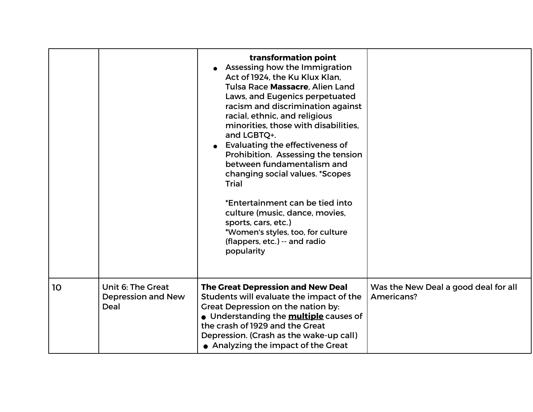|    |                                                 | transformation point<br>Assessing how the Immigration<br>Act of 1924, the Ku Klux Klan,<br>Tulsa Race Massacre, Alien Land<br>Laws, and Eugenics perpetuated<br>racism and discrimination against<br>racial, ethnic, and religious<br>minorities, those with disabilities,<br>and LGBTQ+.<br>Evaluating the effectiveness of<br>Prohibition. Assessing the tension<br>between fundamentalism and<br>changing social values. *Scopes<br><b>Trial</b><br>*Entertainment can be tied into<br>culture (music, dance, movies,<br>sports, cars, etc.)<br>*Women's styles, too, for culture<br>(flappers, etc.) -- and radio<br>popularity |                                                    |
|----|-------------------------------------------------|-------------------------------------------------------------------------------------------------------------------------------------------------------------------------------------------------------------------------------------------------------------------------------------------------------------------------------------------------------------------------------------------------------------------------------------------------------------------------------------------------------------------------------------------------------------------------------------------------------------------------------------|----------------------------------------------------|
| 10 | Unit 6: The Great<br>Depression and New<br>Deal | <b>The Great Depression and New Deal</b><br>Students will evaluate the impact of the<br>Great Depression on the nation by:<br>• Understanding the <b>multiple</b> causes of<br>the crash of 1929 and the Great<br>Depression. (Crash as the wake-up call)<br>• Analyzing the impact of the Great                                                                                                                                                                                                                                                                                                                                    | Was the New Deal a good deal for all<br>Americans? |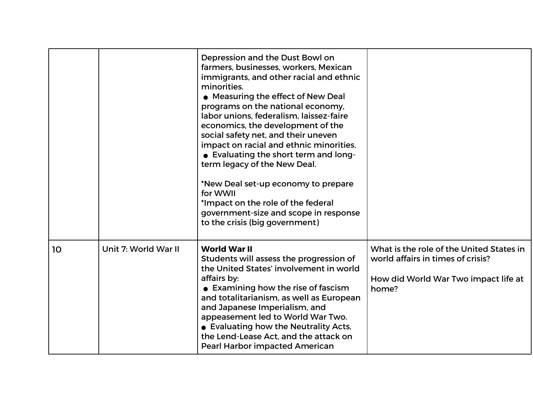|    |                      | Depression and the Dust Bowl on<br>farmers, businesses, workers, Mexican<br>immigrants, and other racial and ethnic<br>minorities.<br>• Measuring the effect of New Deal<br>programs on the national economy,<br>labor unions, federalism, laissez-faire<br>economics, the development of the<br>social safety net, and their uneven<br>impact on racial and ethnic minorities.<br>• Evaluating the short term and long-<br>term legacy of the New Deal.<br>*New Deal set-up economy to prepare<br>for WWII<br>*Impact on the role of the federal<br>government-size and scope in response<br>to the crisis (big government) |                                                                                                                                |
|----|----------------------|------------------------------------------------------------------------------------------------------------------------------------------------------------------------------------------------------------------------------------------------------------------------------------------------------------------------------------------------------------------------------------------------------------------------------------------------------------------------------------------------------------------------------------------------------------------------------------------------------------------------------|--------------------------------------------------------------------------------------------------------------------------------|
| 10 | Unit 7: World War II | <b>World War II</b><br>Students will assess the progression of<br>the United States' involvement in world<br>affairs by:<br>• Examining how the rise of fascism<br>and totalitarianism, as well as European<br>and Japanese Imperialism, and<br>appeasement led to World War Two.<br>• Evaluating how the Neutrality Acts,<br>the Lend-Lease Act, and the attack on<br><b>Pearl Harbor impacted American</b>                                                                                                                                                                                                                 | What is the role of the United States in<br>world affairs in times of crisis?<br>How did World War Two impact life at<br>home? |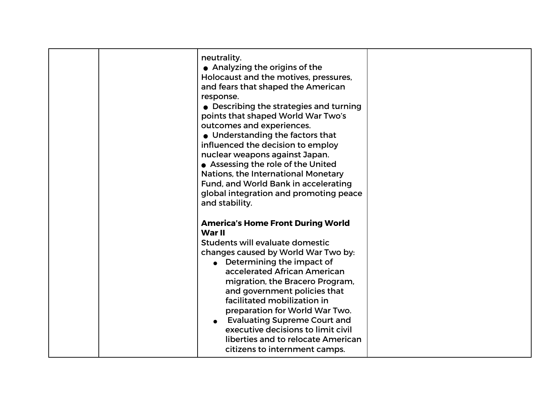| neutrality.<br>• Analyzing the origins of the<br>Holocaust and the motives, pressures,<br>and fears that shaped the American<br>response.<br>• Describing the strategies and turning<br>points that shaped World War Two's<br>outcomes and experiences.<br>• Understanding the factors that<br>influenced the decision to employ<br>nuclear weapons against Japan.<br>• Assessing the role of the United<br>Nations, the International Monetary<br>Fund, and World Bank in accelerating<br>global integration and promoting peace<br>and stability. |  |
|-----------------------------------------------------------------------------------------------------------------------------------------------------------------------------------------------------------------------------------------------------------------------------------------------------------------------------------------------------------------------------------------------------------------------------------------------------------------------------------------------------------------------------------------------------|--|
| <b>America's Home Front During World</b><br>War II<br>Students will evaluate domestic<br>changes caused by World War Two by:<br>$\bullet$ Determining the impact of<br>accelerated African American<br>migration, the Bracero Program,<br>and government policies that<br>facilitated mobilization in<br>preparation for World War Two.<br><b>Evaluating Supreme Court and</b><br>executive decisions to limit civil<br>liberties and to relocate American<br>citizens to internment camps.                                                         |  |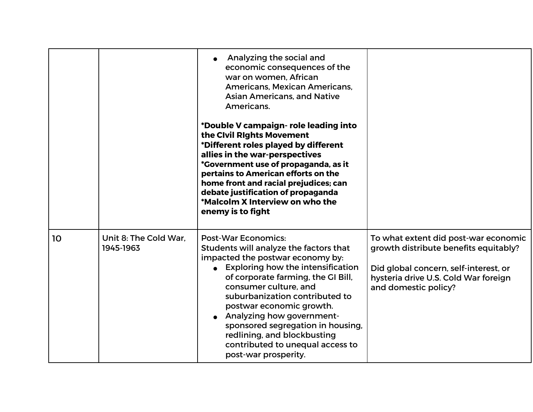|    |                                    | Analyzing the social and<br>economic consequences of the<br>war on women, African<br>Americans, Mexican Americans,<br><b>Asian Americans, and Native</b><br>Americans.<br>*Double V campaign- role leading into<br>the Civil Rights Movement<br>*Different roles played by different<br>allies in the war-perspectives<br>*Government use of propaganda, as it<br>pertains to American efforts on the<br>home front and racial prejudices; can<br>debate justification of propaganda<br>*Malcolm X Interview on who the<br>enemy is to fight |                                                                                                                                                                                        |
|----|------------------------------------|----------------------------------------------------------------------------------------------------------------------------------------------------------------------------------------------------------------------------------------------------------------------------------------------------------------------------------------------------------------------------------------------------------------------------------------------------------------------------------------------------------------------------------------------|----------------------------------------------------------------------------------------------------------------------------------------------------------------------------------------|
| 10 | Unit 8: The Cold War.<br>1945-1963 | <b>Post-War Economics:</b><br>Students will analyze the factors that<br>impacted the postwar economy by:<br>• Exploring how the intensification<br>of corporate farming, the GI Bill,<br>consumer culture, and<br>suburbanization contributed to<br>postwar economic growth.<br>• Analyzing how government-<br>sponsored segregation in housing,<br>redlining, and blockbusting<br>contributed to unequal access to<br>post-war prosperity.                                                                                                  | To what extent did post-war economic<br>growth distribute benefits equitably?<br>Did global concern, self-interest, or<br>hysteria drive U.S. Cold War foreign<br>and domestic policy? |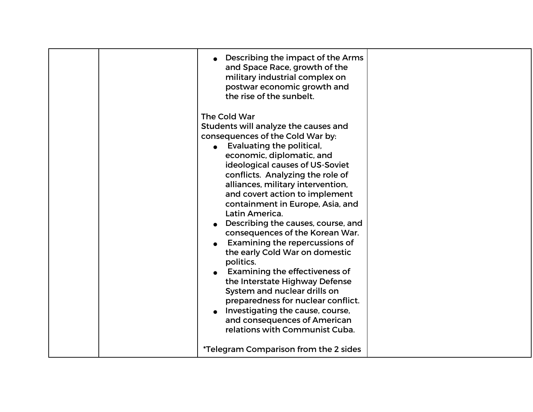|  | Describing the impact of the Arms<br>and Space Race, growth of the<br>military industrial complex on<br>postwar economic growth and<br>the rise of the sunbelt.                                                                                                                                                                                                                                                                                                                                                                                                                                                                                                                                                                                                         |  |
|--|-------------------------------------------------------------------------------------------------------------------------------------------------------------------------------------------------------------------------------------------------------------------------------------------------------------------------------------------------------------------------------------------------------------------------------------------------------------------------------------------------------------------------------------------------------------------------------------------------------------------------------------------------------------------------------------------------------------------------------------------------------------------------|--|
|  | The Cold War<br>Students will analyze the causes and<br>consequences of the Cold War by:<br>Evaluating the political,<br>economic, diplomatic, and<br>ideological causes of US-Soviet<br>conflicts. Analyzing the role of<br>alliances, military intervention,<br>and covert action to implement<br>containment in Europe, Asia, and<br>Latin America.<br>Describing the causes, course, and<br>consequences of the Korean War.<br><b>Examining the repercussions of</b><br>the early Cold War on domestic<br>politics.<br>Examining the effectiveness of<br>the Interstate Highway Defense<br>System and nuclear drills on<br>preparedness for nuclear conflict.<br>Investigating the cause, course,<br>and consequences of American<br>relations with Communist Cuba. |  |
|  | <i>*</i> Telegram Comparison from the 2 sides                                                                                                                                                                                                                                                                                                                                                                                                                                                                                                                                                                                                                                                                                                                           |  |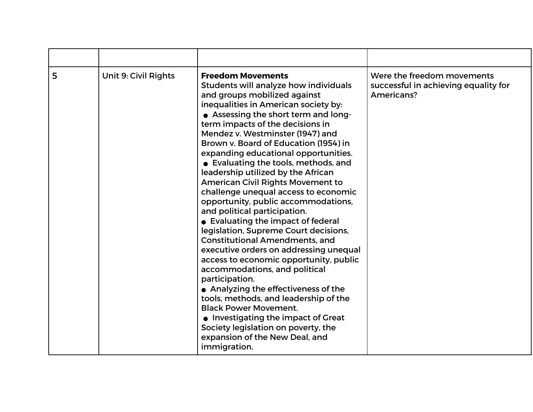| 5 | Unit 9: Civil Rights | <b>Freedom Movements</b><br>Students will analyze how individuals<br>and groups mobilized against<br>inequalities in American society by:<br>• Assessing the short term and long-<br>term impacts of the decisions in<br>Mendez v. Westminster (1947) and<br>Brown v. Board of Education (1954) in<br>expanding educational opportunities.<br>• Evaluating the tools, methods, and<br>leadership utilized by the African<br><b>American Civil Rights Movement to</b><br>challenge unequal access to economic<br>opportunity, public accommodations,<br>and political participation.<br>• Evaluating the impact of federal<br>legislation, Supreme Court decisions,<br><b>Constitutional Amendments, and</b><br>executive orders on addressing unequal<br>access to economic opportunity, public<br>accommodations, and political<br>participation.<br>• Analyzing the effectiveness of the<br>tools, methods, and leadership of the<br><b>Black Power Movement.</b><br>• Investigating the impact of Great<br>Society legislation on poverty, the<br>expansion of the New Deal, and<br>immigration. | Were the freedom movements<br>successful in achieving equality for<br>Americans? |
|---|----------------------|-----------------------------------------------------------------------------------------------------------------------------------------------------------------------------------------------------------------------------------------------------------------------------------------------------------------------------------------------------------------------------------------------------------------------------------------------------------------------------------------------------------------------------------------------------------------------------------------------------------------------------------------------------------------------------------------------------------------------------------------------------------------------------------------------------------------------------------------------------------------------------------------------------------------------------------------------------------------------------------------------------------------------------------------------------------------------------------------------------|----------------------------------------------------------------------------------|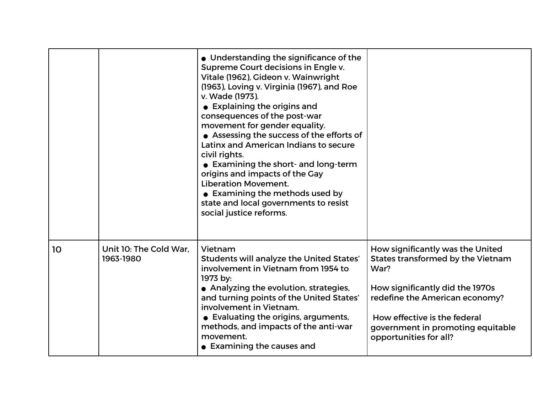|    |                                     | • Understanding the significance of the<br>Supreme Court decisions in Engle v.<br>Vitale (1962), Gideon v. Wainwright<br>(1963), Loving v. Virginia (1967), and Roe<br>v. Wade (1973).<br>• Explaining the origins and<br>consequences of the post-war<br>movement for gender equality.<br>• Assessing the success of the efforts of<br>Latinx and American Indians to secure<br>civil rights.<br>• Examining the short- and long-term<br>origins and impacts of the Gay<br><b>Liberation Movement.</b><br>• Examining the methods used by<br>state and local governments to resist<br>social justice reforms. |                                                                                                                                                                                                                                                   |
|----|-------------------------------------|----------------------------------------------------------------------------------------------------------------------------------------------------------------------------------------------------------------------------------------------------------------------------------------------------------------------------------------------------------------------------------------------------------------------------------------------------------------------------------------------------------------------------------------------------------------------------------------------------------------|---------------------------------------------------------------------------------------------------------------------------------------------------------------------------------------------------------------------------------------------------|
| 10 | Unit 10: The Cold War.<br>1963-1980 | Vietnam<br><b>Students will analyze the United States'</b><br>involvement in Vietnam from 1954 to<br>1973 by:<br>• Analyzing the evolution, strategies,<br>and turning points of the United States'<br>involvement in Vietnam.<br>• Evaluating the origins, arguments,<br>methods, and impacts of the anti-war<br>movement.<br>• Examining the causes and                                                                                                                                                                                                                                                      | How significantly was the United<br>States transformed by the Vietnam<br>War?<br>How significantly did the 1970s<br>redefine the American economy?<br>How effective is the federal<br>government in promoting equitable<br>opportunities for all? |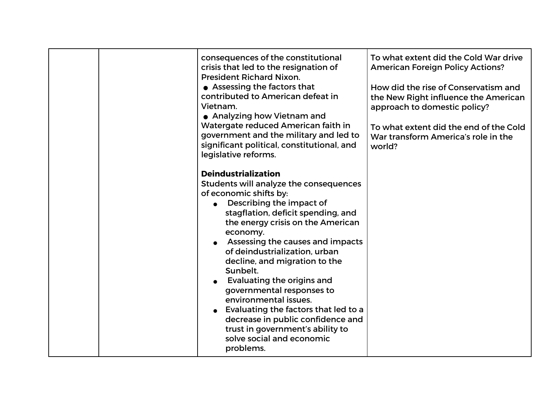| consequences of the constitutional<br>crisis that led to the resignation of<br><b>President Richard Nixon.</b><br>• Assessing the factors that<br>contributed to American defeat in<br>Vietnam.<br>• Analyzing how Vietnam and<br>Watergate reduced American faith in<br>government and the military and led to<br>significant political, constitutional, and<br>legislative reforms.                                                                                                                                                                                                     | To what extent did the Cold War drive<br><b>American Foreign Policy Actions?</b><br>How did the rise of Conservatism and<br>the New Right influence the American<br>approach to domestic policy?<br>To what extent did the end of the Cold<br>War transform America's role in the<br>world? |
|-------------------------------------------------------------------------------------------------------------------------------------------------------------------------------------------------------------------------------------------------------------------------------------------------------------------------------------------------------------------------------------------------------------------------------------------------------------------------------------------------------------------------------------------------------------------------------------------|---------------------------------------------------------------------------------------------------------------------------------------------------------------------------------------------------------------------------------------------------------------------------------------------|
| <b>Deindustrialization</b><br>Students will analyze the consequences<br>of economic shifts by:<br>Describing the impact of<br>stagflation, deficit spending, and<br>the energy crisis on the American<br>economy.<br>Assessing the causes and impacts<br>of deindustrialization, urban<br>decline, and migration to the<br>Sunbelt.<br><b>Evaluating the origins and</b><br>governmental responses to<br>environmental issues.<br>Evaluating the factors that led to a<br>decrease in public confidence and<br>trust in government's ability to<br>solve social and economic<br>problems. |                                                                                                                                                                                                                                                                                             |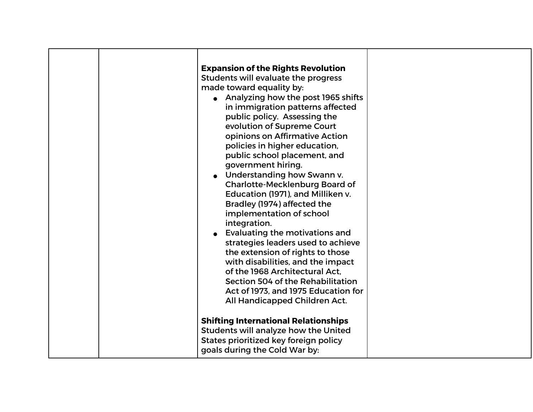|  | <b>Expansion of the Rights Revolution</b><br>Students will evaluate the progress<br>made toward equality by:<br>• Analyzing how the post 1965 shifts<br>in immigration patterns affected<br>public policy. Assessing the<br>evolution of Supreme Court<br>opinions on Affirmative Action<br>policies in higher education,<br>public school placement, and<br>government hiring.<br>• Understanding how Swann v.<br><b>Charlotte-Mecklenburg Board of</b><br>Education (1971), and Milliken v.<br>Bradley (1974) affected the<br>implementation of school<br>integration.<br><b>Evaluating the motivations and</b><br>strategies leaders used to achieve<br>the extension of rights to those<br>with disabilities, and the impact<br>of the 1968 Architectural Act.<br>Section 504 of the Rehabilitation<br>Act of 1973, and 1975 Education for<br>All Handicapped Children Act.<br><b>Shifting International Relationships</b> |  |
|--|--------------------------------------------------------------------------------------------------------------------------------------------------------------------------------------------------------------------------------------------------------------------------------------------------------------------------------------------------------------------------------------------------------------------------------------------------------------------------------------------------------------------------------------------------------------------------------------------------------------------------------------------------------------------------------------------------------------------------------------------------------------------------------------------------------------------------------------------------------------------------------------------------------------------------------|--|
|  | Students will analyze how the United<br>States prioritized key foreign policy<br>goals during the Cold War by:                                                                                                                                                                                                                                                                                                                                                                                                                                                                                                                                                                                                                                                                                                                                                                                                                 |  |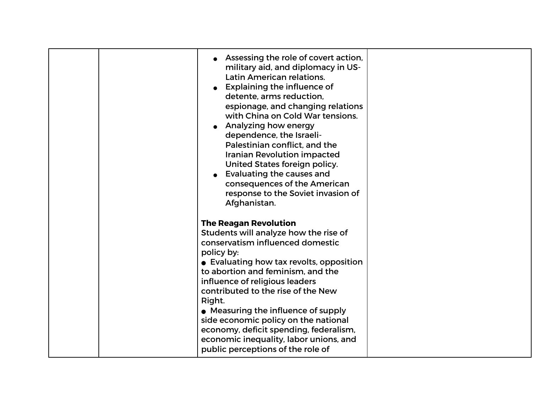| Assessing the role of covert action,<br>military aid, and diplomacy in US-<br>Latin American relations.<br><b>Explaining the influence of</b><br>detente, arms reduction,<br>espionage, and changing relations<br>with China on Cold War tensions.<br>Analyzing how energy<br>dependence, the Israeli-<br>Palestinian conflict, and the<br><b>Iranian Revolution impacted</b><br>United States foreign policy.<br><b>Evaluating the causes and</b><br>consequences of the American<br>response to the Soviet invasion of<br>Afghanistan. |  |
|------------------------------------------------------------------------------------------------------------------------------------------------------------------------------------------------------------------------------------------------------------------------------------------------------------------------------------------------------------------------------------------------------------------------------------------------------------------------------------------------------------------------------------------|--|
| <b>The Reagan Revolution</b><br>Students will analyze how the rise of<br>conservatism influenced domestic<br>policy by:<br>• Evaluating how tax revolts, opposition<br>to abortion and feminism, and the<br>influence of religious leaders<br>contributed to the rise of the New<br>Right.<br>• Measuring the influence of supply<br>side economic policy on the national<br>economy, deficit spending, federalism,<br>economic inequality, labor unions, and<br>public perceptions of the role of                                       |  |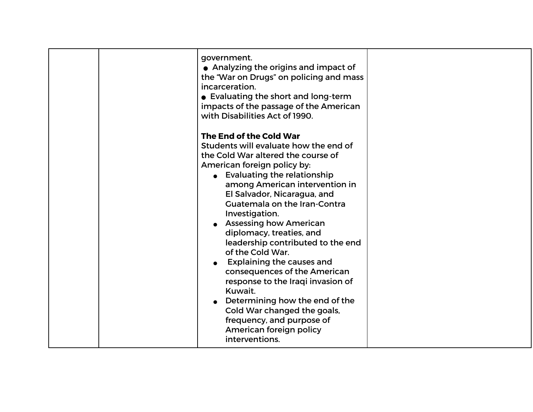| government.<br>• Analyzing the origins and impact of<br>the "War on Drugs" on policing and mass<br>incarceration.<br>• Evaluating the short and long-term<br>impacts of the passage of the American<br>with Disabilities Act of 1990.<br>The End of the Cold War<br>Students will evaluate how the end of<br>the Cold War altered the course of<br>American foreign policy by:<br>• Evaluating the relationship<br>among American intervention in<br>El Salvador, Nicaragua, and<br><b>Guatemala on the Iran-Contra</b><br>Investigation.<br><b>Assessing how American</b><br>diplomacy, treaties, and<br>leadership contributed to the end<br>of the Cold War.<br>Explaining the causes and |  |
|----------------------------------------------------------------------------------------------------------------------------------------------------------------------------------------------------------------------------------------------------------------------------------------------------------------------------------------------------------------------------------------------------------------------------------------------------------------------------------------------------------------------------------------------------------------------------------------------------------------------------------------------------------------------------------------------|--|
| consequences of the American<br>response to the Iraqi invasion of<br>Kuwait.<br>Determining how the end of the<br>Cold War changed the goals,<br>frequency, and purpose of<br>American foreign policy<br>interventions.                                                                                                                                                                                                                                                                                                                                                                                                                                                                      |  |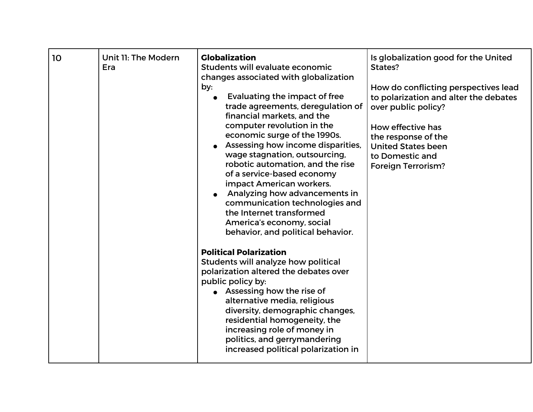| 10 | Unit 11: The Modern<br>Era | <b>Globalization</b><br>Students will evaluate economic<br>changes associated with globalization<br>by:<br>Evaluating the impact of free<br>trade agreements, deregulation of<br>financial markets, and the<br>computer revolution in the<br>economic surge of the 1990s.<br>Assessing how income disparities,<br>wage stagnation, outsourcing,<br>robotic automation, and the rise<br>of a service-based economy<br>impact American workers.<br>Analyzing how advancements in<br>communication technologies and<br>the Internet transformed<br>America's economy, social<br>behavior, and political behavior. | Is globalization good for the United<br>States?<br>How do conflicting perspectives lead<br>to polarization and alter the debates<br>over public policy?<br>How effective has<br>the response of the<br><b>United States been</b><br>to Domestic and<br><b>Foreign Terrorism?</b> |
|----|----------------------------|----------------------------------------------------------------------------------------------------------------------------------------------------------------------------------------------------------------------------------------------------------------------------------------------------------------------------------------------------------------------------------------------------------------------------------------------------------------------------------------------------------------------------------------------------------------------------------------------------------------|----------------------------------------------------------------------------------------------------------------------------------------------------------------------------------------------------------------------------------------------------------------------------------|
|    |                            | <b>Political Polarization</b><br>Students will analyze how political<br>polarization altered the debates over<br>public policy by:<br>$\bullet$ Assessing how the rise of<br>alternative media, religious<br>diversity, demographic changes,<br>residential homogeneity, the<br>increasing role of money in<br>politics, and gerrymandering<br>increased political polarization in                                                                                                                                                                                                                             |                                                                                                                                                                                                                                                                                  |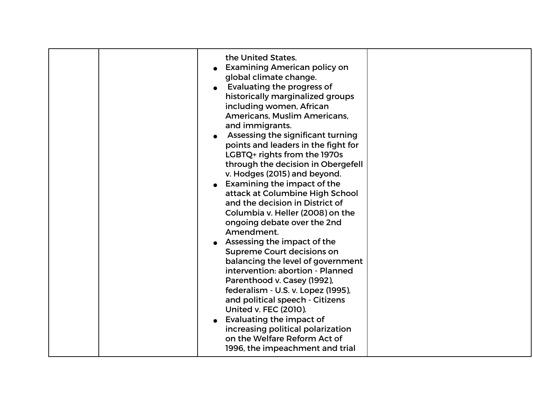|  | the United States.<br><b>Examining American policy on</b><br>global climate change.<br>Evaluating the progress of<br>historically marginalized groups<br>including women, African<br>Americans, Muslim Americans,<br>and immigrants.<br>Assessing the significant turning<br>points and leaders in the fight for<br>LGBTQ+ rights from the 1970s<br>through the decision in Obergefell<br>v. Hodges (2015) and beyond.<br>Examining the impact of the<br>attack at Columbine High School<br>and the decision in District of<br>Columbia v. Heller (2008) on the<br>ongoing debate over the 2nd<br>Amendment.<br>Assessing the impact of the<br><b>Supreme Court decisions on</b><br>balancing the level of government<br>intervention: abortion - Planned<br>Parenthood v. Casey (1992),<br>federalism - U.S. v. Lopez (1995),<br>and political speech - Citizens<br><b>United v. FEC (2010).</b> |  |
|--|---------------------------------------------------------------------------------------------------------------------------------------------------------------------------------------------------------------------------------------------------------------------------------------------------------------------------------------------------------------------------------------------------------------------------------------------------------------------------------------------------------------------------------------------------------------------------------------------------------------------------------------------------------------------------------------------------------------------------------------------------------------------------------------------------------------------------------------------------------------------------------------------------|--|
|  | <b>Evaluating the impact of</b><br>increasing political polarization<br>on the Welfare Reform Act of<br>1996, the impeachment and trial                                                                                                                                                                                                                                                                                                                                                                                                                                                                                                                                                                                                                                                                                                                                                           |  |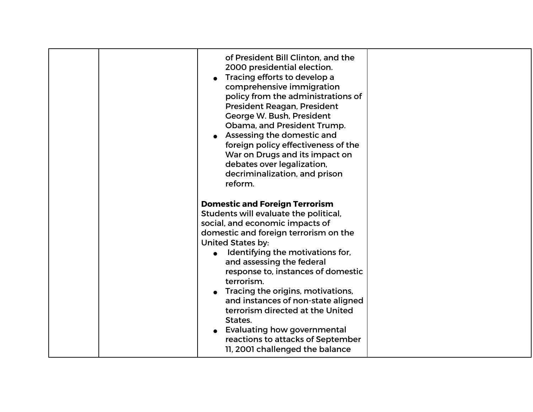|  | of President Bill Clinton, and the<br>2000 presidential election.<br>Tracing efforts to develop a<br>comprehensive immigration<br>policy from the administrations of<br>President Reagan, President<br>George W. Bush, President<br>Obama, and President Trump.<br>Assessing the domestic and<br>foreign policy effectiveness of the<br>War on Drugs and its impact on<br>debates over legalization,<br>decriminalization, and prison<br>reform. |  |
|--|--------------------------------------------------------------------------------------------------------------------------------------------------------------------------------------------------------------------------------------------------------------------------------------------------------------------------------------------------------------------------------------------------------------------------------------------------|--|
|  | <b>Domestic and Foreign Terrorism</b>                                                                                                                                                                                                                                                                                                                                                                                                            |  |
|  | Students will evaluate the political,                                                                                                                                                                                                                                                                                                                                                                                                            |  |
|  | social, and economic impacts of                                                                                                                                                                                                                                                                                                                                                                                                                  |  |
|  | domestic and foreign terrorism on the                                                                                                                                                                                                                                                                                                                                                                                                            |  |
|  | <b>United States by:</b>                                                                                                                                                                                                                                                                                                                                                                                                                         |  |
|  | Identifying the motivations for,                                                                                                                                                                                                                                                                                                                                                                                                                 |  |
|  | and assessing the federal                                                                                                                                                                                                                                                                                                                                                                                                                        |  |
|  | response to, instances of domestic                                                                                                                                                                                                                                                                                                                                                                                                               |  |
|  | terrorism.                                                                                                                                                                                                                                                                                                                                                                                                                                       |  |
|  | Tracing the origins, motivations,                                                                                                                                                                                                                                                                                                                                                                                                                |  |
|  | and instances of non-state aligned                                                                                                                                                                                                                                                                                                                                                                                                               |  |
|  | terrorism directed at the United<br>States.                                                                                                                                                                                                                                                                                                                                                                                                      |  |
|  | <b>Evaluating how governmental</b>                                                                                                                                                                                                                                                                                                                                                                                                               |  |
|  | reactions to attacks of September                                                                                                                                                                                                                                                                                                                                                                                                                |  |
|  | 11, 2001 challenged the balance                                                                                                                                                                                                                                                                                                                                                                                                                  |  |
|  |                                                                                                                                                                                                                                                                                                                                                                                                                                                  |  |